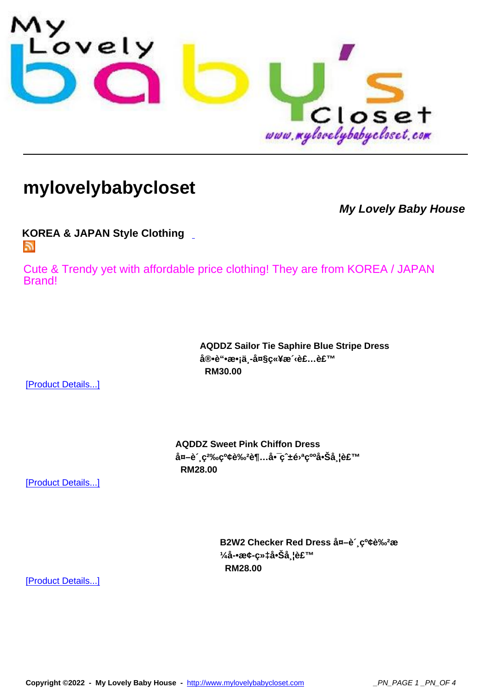

## **[mylovelybabycloset](http://www.mylovelybabycloset.com)**

**My Lovely Baby House**

**KOREA & JAPAN Style Clothing**  Б.

[Cute & Trendy yet with affordable](index.php?option=com_virtuemart&page=shop.feed&category_id=42) price clothing! They are from KOREA / JAPAN Brand!

> **AQDDZ Sailor Tie Saphire Blue Stripe Dress** 宕è"•æ•¡ä¸-大ç«¥æ<sup>√</sup>‹è£...裙  **RM30.00**

[Product Details...]

**AQDDZ Sweet Pink Chiffon Dress** 外è´,ç<sup>2</sup>‰çº¢è‰<sup>2</sup>超啯ç^±é<sup>,a</sup>ç∞啊带裙  **RM28.00** 

[Product Details...]

B2W2 Checker Red Dress ån-è<sup>2</sup>, c<sup>o</sup>¢è‰<sup>2</sup>æ 1/<sub>4</sub>å-•æ¢-织啊å l裙  **RM28.00** 

[Product Details...]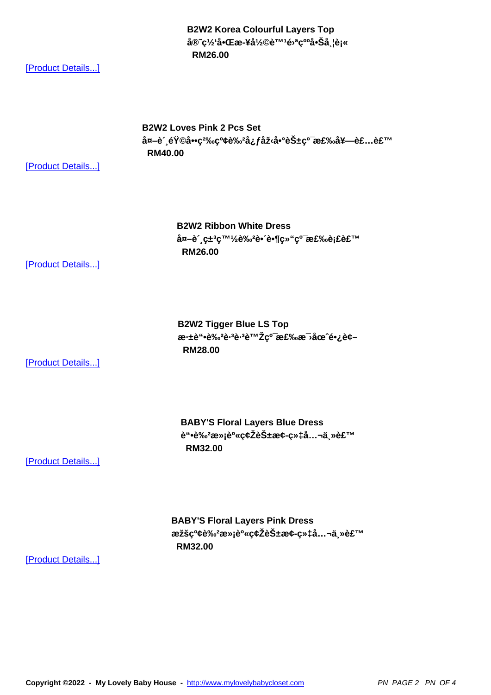**官网啌æ-¥å½©è™¹é›ªçººå•Šå¸¦è¡« RM26.00** 

[Product Details...]

**B2W2 Loves Pink 2 Pcs Set** å¤-è'<sub>.</sub>韩å••ç<sup>2</sup>‰çº¢è‰<sup>2</sup>å¿f型啰花纯棉å¥--装裙  **RM40.00** 

[Product Details...]

**B2W2 Ribbon White Dress** å¤-è (ç±3c™<sup>1</sup>/2è‰<sup>2</sup>è• e•¶c»"c<sup>o-</sup>棉èj£è£™  **RM26.00** 

[Product Details...]

**B2W2 Tigger Blue LS Top** æ·±è"•è‰<del>2</del>è·<sup>3</sup>è·<sup>3</sup>虎ç<sup>o−</sup>棉æ<sup>−</sup>›åœ^长袖  **RM28.00** 

[Product Details...]

**BABY'S Floral Layers Blue Dress** è"•è‰<sup>2</sup>满è<sup>0</sup>«ç¢Žèбæ¢-织å...¬ä<sub>,</sub>»è£™  **RM32.00** 

[Product Details...]

**BABY'S Floral Layers Pink Dress** æžšç<sup>o</sup>¢è‰<sup>2</sup>满身碎花æ¢-织å...¬ä<sub>∍</sub>»è£™  **RM32.00** 

[Product Details...]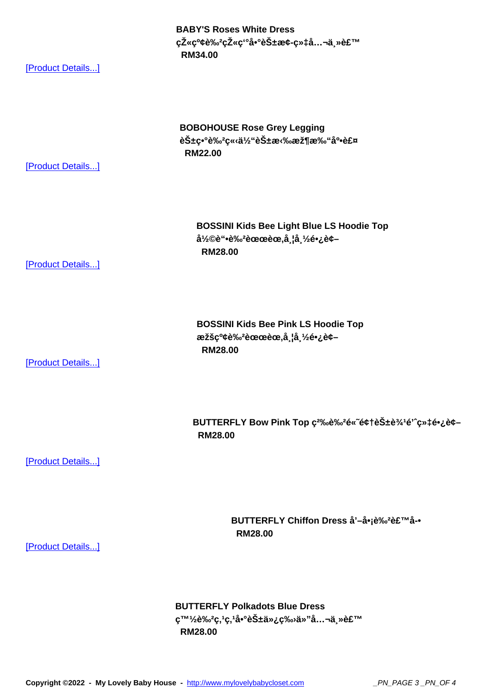**CZ«C»Ce» CZ«C-a•·eS±æc-C»ta…¬a,»et RM34.00** 

[Product Details...]

## **BOBOHOUSE Rose Grey Legging** 花ç•°è‰<sup>2</sup>立体花拉架打å‰è£¤  **RM22.00**

[Product Details...]

**BOSSINI Kids Bee Light Blue LS Hoodie Top** 彩è"•è‰<sup>2</sup>蜜èœ,å ¦å ½é•¿è¢–  **RM28.00** 

[Product Details...]

**BOSSINI Kids Bee Pink LS Hoodie Top** æžšç<sup>o</sup>¢è‰<sup>2</sup>蜜èœ,å ¦å ½é•¿è¢- **RM28.00** 

[Product Details...]

BUTTERFLY Bow Pink Top c<sup>2%</sup>oè%<sup>2</sup>é«~é¢t花è<sup>3/1</sup>é'^c»‡é•¿è¢- **RM28.00** 

[Product Details...]

**BUTTERFLY Chiffon Dress å'-å•jè‰<sup>2</sup>裙å-• RM28.00** 

[Product Details...]

**BUTTERFLY Polkadots Blue Dress**  $\varsigma^{\text{TM1}}$ /<sub>2</sub>è‰<sup>2</sup>ς,1ς,1啰花仿ς‰≀ä»"å...¬ä<sub>.</sub>»è£™  **RM28.00** 

**Copyright ©2022 - My Lovely Baby House -** http://www.mylovelybabycloset.com \_PN\_PAGE 3 \_PN\_OF 4